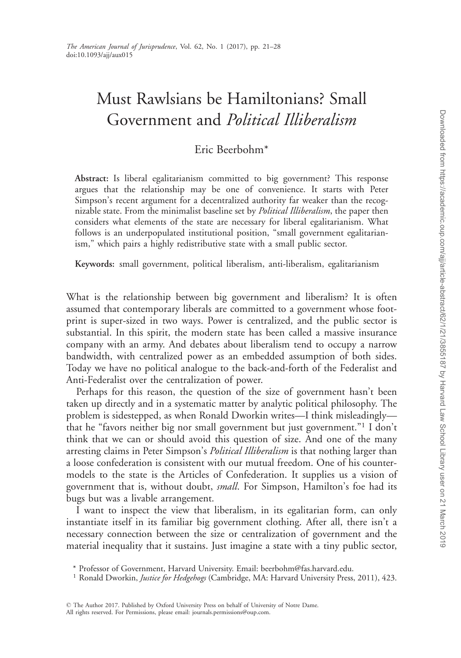# Must Rawlsians be Hamiltonians? Small Government and Political Illiberalism

# Eric Beerbohm\*

Abstract: Is liberal egalitarianism committed to big government? This response argues that the relationship may be one of convenience. It starts with Peter Simpson's recent argument for a decentralized authority far weaker than the recognizable state. From the minimalist baseline set by *Political Illiberalism*, the paper then considers what elements of the state are necessary for liberal egalitarianism. What follows is an underpopulated institutional position, "small government egalitarianism," which pairs a highly redistributive state with a small public sector.

Keywords: small government, political liberalism, anti-liberalism, egalitarianism

What is the relationship between big government and liberalism? It is often assumed that contemporary liberals are committed to a government whose footprint is super-sized in two ways. Power is centralized, and the public sector is substantial. In this spirit, the modern state has been called a massive insurance company with an army. And debates about liberalism tend to occupy a narrow bandwidth, with centralized power as an embedded assumption of both sides. Today we have no political analogue to the back-and-forth of the Federalist and Anti-Federalist over the centralization of power.

Perhaps for this reason, the question of the size of government hasn't been taken up directly and in a systematic matter by analytic political philosophy. The problem is sidestepped, as when Ronald Dworkin writes—I think misleadingly that he "favors neither big nor small government but just government."<sup>1</sup> I don't think that we can or should avoid this question of size. And one of the many arresting claims in Peter Simpson's *Political Illiberalism* is that nothing larger than a loose confederation is consistent with our mutual freedom. One of his countermodels to the state is the Articles of Confederation. It supplies us a vision of government that is, without doubt, *small*. For Simpson, Hamilton's foe had its bugs but was a livable arrangement.

I want to inspect the view that liberalism, in its egalitarian form, can only instantiate itself in its familiar big government clothing. After all, there isn't a necessary connection between the size or centralization of government and the material inequality that it sustains. Just imagine a state with a tiny public sector,

<sup>\*</sup> Professor of Government, Harvard University. Email: beerbohm@fas.harvard.edu.

<sup>&</sup>lt;sup>1</sup> Ronald Dworkin, Justice for Hedgehogs (Cambridge, MA: Harvard University Press, 2011), 423.

<sup>-</sup> The Author 2017. Published by Oxford University Press on behalf of University of Notre Dame.

All rights reserved. For Permissions, please email: journals.permissions@oup.com.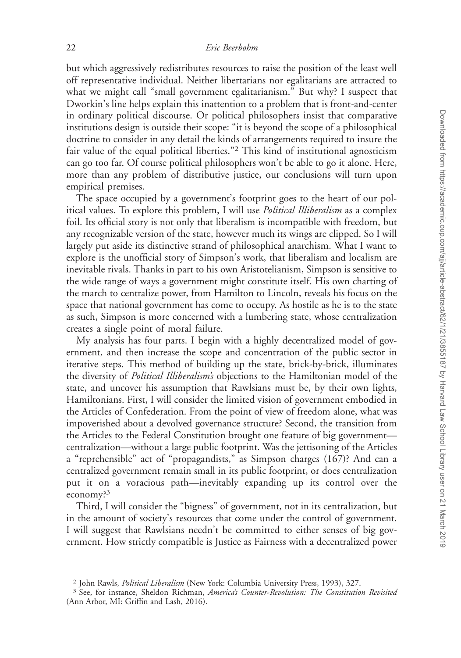#### 22 Eric Beerbohm

but which aggressively redistributes resources to raise the position of the least well off representative individual. Neither libertarians nor egalitarians are attracted to what we might call "small government egalitarianism." But why? I suspect that Dworkin's line helps explain this inattention to a problem that is front-and-center in ordinary political discourse. Or political philosophers insist that comparative institutions design is outside their scope: "it is beyond the scope of a philosophical doctrine to consider in any detail the kinds of arrangements required to insure the fair value of the equal political liberties."<sup>2</sup> This kind of institutional agnosticism can go too far. Of course political philosophers won't be able to go it alone. Here, more than any problem of distributive justice, our conclusions will turn upon empirical premises.

The space occupied by a government's footprint goes to the heart of our political values. To explore this problem, I will use *Political Illiberalism* as a complex foil. Its official story is not only that liberalism is incompatible with freedom, but any recognizable version of the state, however much its wings are clipped. So I will largely put aside its distinctive strand of philosophical anarchism. What I want to explore is the unofficial story of Simpson's work, that liberalism and localism are inevitable rivals. Thanks in part to his own Aristotelianism, Simpson is sensitive to the wide range of ways a government might constitute itself. His own charting of the march to centralize power, from Hamilton to Lincoln, reveals his focus on the space that national government has come to occupy. As hostile as he is to the state as such, Simpson is more concerned with a lumbering state, whose centralization creates a single point of moral failure.

My analysis has four parts. I begin with a highly decentralized model of government, and then increase the scope and concentration of the public sector in iterative steps. This method of building up the state, brick-by-brick, illuminates the diversity of Political Illiberalism's objections to the Hamiltonian model of the state, and uncover his assumption that Rawlsians must be, by their own lights, Hamiltonians. First, I will consider the limited vision of government embodied in the Articles of Confederation. From the point of view of freedom alone, what was impoverished about a devolved governance structure? Second, the transition from the Articles to the Federal Constitution brought one feature of big government centralization—without a large public footprint. Was the jettisoning of the Articles a "reprehensible" act of "propagandists," as Simpson charges (167)? And can a centralized government remain small in its public footprint, or does centralization put it on a voracious path—inevitably expanding up its control over the economy?3

Third, I will consider the "bigness" of government, not in its centralization, but in the amount of society's resources that come under the control of government. I will suggest that Rawlsians needn't be committed to either senses of big government. How strictly compatible is Justice as Fairness with a decentralized power

<sup>&</sup>lt;sup>2</sup> John Rawls, *Political Liberalism* (New York: Columbia University Press, 1993), 327.<br><sup>3</sup> See, for instance, Sheldon Richman, *America's Counter-Revolution: The Constitution Revisited* 

<sup>(</sup>Ann Arbor, MI: Griffin and Lash, 2016).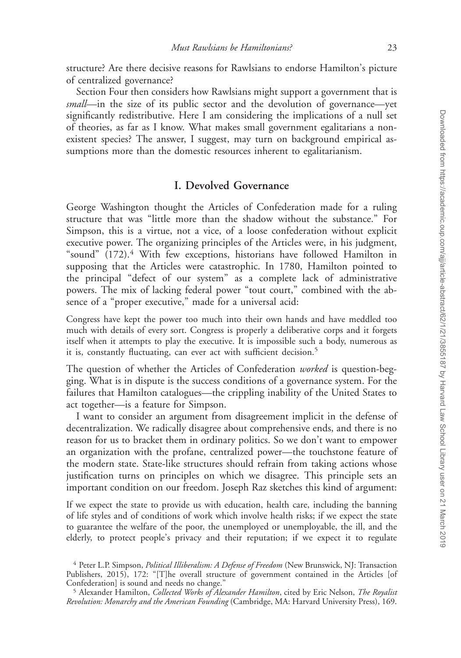structure? Are there decisive reasons for Rawlsians to endorse Hamilton's picture of centralized governance?

Section Four then considers how Rawlsians might support a government that is small—in the size of its public sector and the devolution of governance—yet significantly redistributive. Here I am considering the implications of a null set of theories, as far as I know. What makes small government egalitarians a nonexistent species? The answer, I suggest, may turn on background empirical assumptions more than the domestic resources inherent to egalitarianism.

# I. Devolved Governance

George Washington thought the Articles of Confederation made for a ruling structure that was "little more than the shadow without the substance." For Simpson, this is a virtue, not a vice, of a loose confederation without explicit executive power. The organizing principles of the Articles were, in his judgment, "sound" (172).<sup>4</sup> With few exceptions, historians have followed Hamilton in supposing that the Articles were catastrophic. In 1780, Hamilton pointed to the principal "defect of our system" as a complete lack of administrative powers. The mix of lacking federal power "tout court," combined with the absence of a "proper executive," made for a universal acid:

Congress have kept the power too much into their own hands and have meddled too much with details of every sort. Congress is properly a deliberative corps and it forgets itself when it attempts to play the executive. It is impossible such a body, numerous as it is, constantly fluctuating, can ever act with sufficient decision.<sup>5</sup>

The question of whether the Articles of Confederation *worked* is question-begging. What is in dispute is the success conditions of a governance system. For the failures that Hamilton catalogues—the crippling inability of the United States to act together—is a feature for Simpson.

I want to consider an argument from disagreement implicit in the defense of decentralization. We radically disagree about comprehensive ends, and there is no reason for us to bracket them in ordinary politics. So we don't want to empower an organization with the profane, centralized power—the touchstone feature of the modern state. State-like structures should refrain from taking actions whose justification turns on principles on which we disagree. This principle sets an important condition on our freedom. Joseph Raz sketches this kind of argument:

If we expect the state to provide us with education, health care, including the banning of life styles and of conditions of work which involve health risks; if we expect the state to guarantee the welfare of the poor, the unemployed or unemployable, the ill, and the elderly, to protect people's privacy and their reputation; if we expect it to regulate

<sup>4</sup> Peter L.P. Simpson, *Political Illiberalism: A Defense of Freedom* (New Brunswick, NJ: Transaction Publishers, 2015), 172: "[T]he overall structure of government contained in the Articles [of Confederation] is sound and needs no change."

<sup>&</sup>lt;sup>5</sup> Alexander Hamilton, *Collected Works of Alexander Hamilton*, cited by Eric Nelson, *The Royalist* Revolution: Monarchy and the American Founding (Cambridge, MA: Harvard University Press), 169.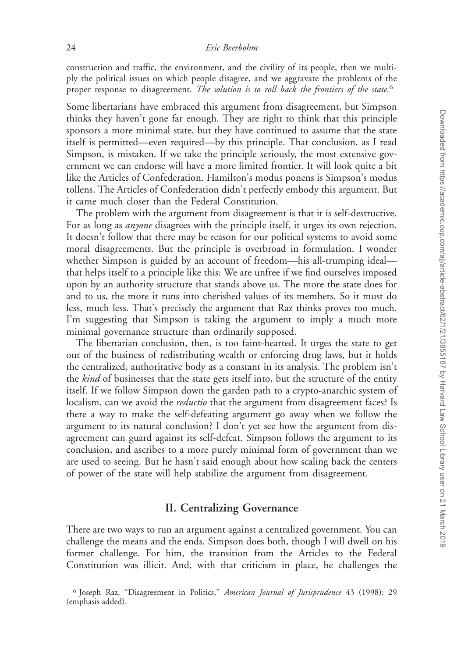#### 24 Eric Beerbohm

construction and traffic, the environment, and the civility of its people, then we multiply the political issues on which people disagree, and we aggravate the problems of the proper response to disagreement. The solution is to roll back the frontiers of the state.<sup>6</sup>

Some libertarians have embraced this argument from disagreement, but Simpson thinks they haven't gone far enough. They are right to think that this principle sponsors a more minimal state, but they have continued to assume that the state itself is permitted—even required—by this principle. That conclusion, as I read Simpson, is mistaken. If we take the principle seriously, the most extensive government we can endorse will have a more limited frontier. It will look quite a bit like the Articles of Confederation. Hamilton's modus ponens is Simpson's modus tollens. The Articles of Confederation didn't perfectly embody this argument. But it came much closer than the Federal Constitution.

The problem with the argument from disagreement is that it is self-destructive. For as long as *anyone* disagrees with the principle itself, it urges its own rejection. It doesn't follow that there may be reason for our political systems to avoid some moral disagreements. But the principle is overbroad in formulation. I wonder whether Simpson is guided by an account of freedom—his all-trumping ideal that helps itself to a principle like this: We are unfree if we find ourselves imposed upon by an authority structure that stands above us. The more the state does for and to us, the more it runs into cherished values of its members. So it must do less, much less. That's precisely the argument that Raz thinks proves too much. I'm suggesting that Simpson is taking the argument to imply a much more minimal governance structure than ordinarily supposed.

The libertarian conclusion, then, is too faint-hearted. It urges the state to get out of the business of redistributing wealth or enforcing drug laws, but it holds the centralized, authoritative body as a constant in its analysis. The problem isn't the *kind* of businesses that the state gets itself into, but the structure of the entity itself. If we follow Simpson down the garden path to a crypto-anarchic system of localism, can we avoid the *reductio* that the argument from disagreement faces? Is there a way to make the self-defeating argument go away when we follow the argument to its natural conclusion? I don't yet see how the argument from disagreement can guard against its self-defeat. Simpson follows the argument to its conclusion, and ascribes to a more purely minimal form of government than we are used to seeing. But he hasn't said enough about how scaling back the centers of power of the state will help stabilize the argument from disagreement.

## II. Centralizing Governance

There are two ways to run an argument against a centralized government. You can challenge the means and the ends. Simpson does both, though I will dwell on his former challenge. For him, the transition from the Articles to the Federal Constitution was illicit. And, with that criticism in place, he challenges the

<sup>&</sup>lt;sup>6</sup> Joseph Raz, "Disagreement in Politics," American Journal of Jurisprudence 43 (1998): 29 (emphasis added).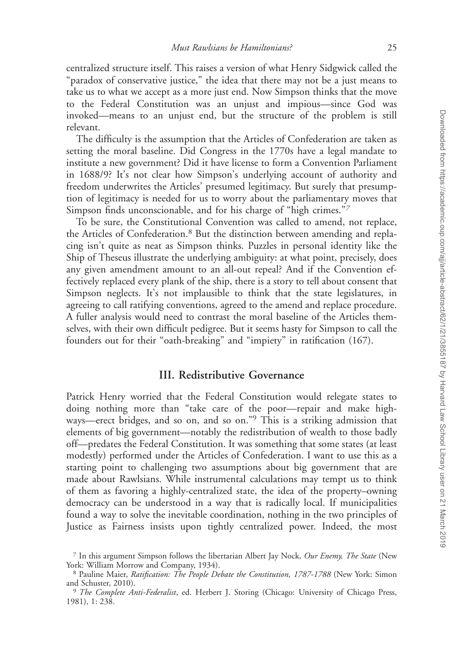centralized structure itself. This raises a version of what Henry Sidgwick called the "paradox of conservative justice," the idea that there may not be a just means to take us to what we accept as a more just end. Now Simpson thinks that the move to the Federal Constitution was an unjust and impious—since God was invoked—means to an unjust end, but the structure of the problem is still relevant.

The difficulty is the assumption that the Articles of Confederation are taken as setting the moral baseline. Did Congress in the 1770s have a legal mandate to institute a new government? Did it have license to form a Convention Parliament in 1688/9? It's not clear how Simpson's underlying account of authority and freedom underwrites the Articles' presumed legitimacy. But surely that presumption of legitimacy is needed for us to worry about the parliamentary moves that Simpson finds unconscionable, and for his charge of "high crimes."<sup>7</sup>

To be sure, the Constitutional Convention was called to amend, not replace, the Articles of Confederation.<sup>8</sup> But the distinction between amending and replacing isn't quite as neat as Simpson thinks. Puzzles in personal identity like the Ship of Theseus illustrate the underlying ambiguity: at what point, precisely, does any given amendment amount to an all-out repeal? And if the Convention effectively replaced every plank of the ship, there is a story to tell about consent that Simpson neglects. It's not implausible to think that the state legislatures, in agreeing to call ratifying conventions, agreed to the amend and replace procedure. A fuller analysis would need to contrast the moral baseline of the Articles themselves, with their own difficult pedigree. But it seems hasty for Simpson to call the founders out for their "oath-breaking" and "impiety" in ratification (167).

## III. Redistributive Governance

Patrick Henry worried that the Federal Constitution would relegate states to doing nothing more than "take care of the poor—repair and make highways—erect bridges, and so on, and so on."<sup>9</sup> This is a striking admission that elements of big government—notably the redistribution of wealth to those badly off—predates the Federal Constitution. It was something that some states (at least modestly) performed under the Articles of Confederation. I want to use this as a starting point to challenging two assumptions about big government that are made about Rawlsians. While instrumental calculations may tempt us to think of them as favoring a highly-centralized state, the idea of the property–owning democracy can be understood in a way that is radically local. If municipalities found a way to solve the inevitable coordination, nothing in the two principles of Justice as Fairness insists upon tightly centralized power. Indeed, the most

<sup>&</sup>lt;sup>7</sup> In this argument Simpson follows the libertarian Albert Jay Nock, *Our Enemy, The State* (New York: William Morrow and Company, 1934).

<sup>&</sup>lt;sup>8</sup> Pauline Maier, *Ratification: The People Debate the Constitution, 1787-1788* (New York: Simon and Schuster, 2010).

<sup>&</sup>lt;sup>9</sup> The Complete Anti-Federalist, ed. Herbert J. Storing (Chicago: University of Chicago Press, 1981), 1: 238.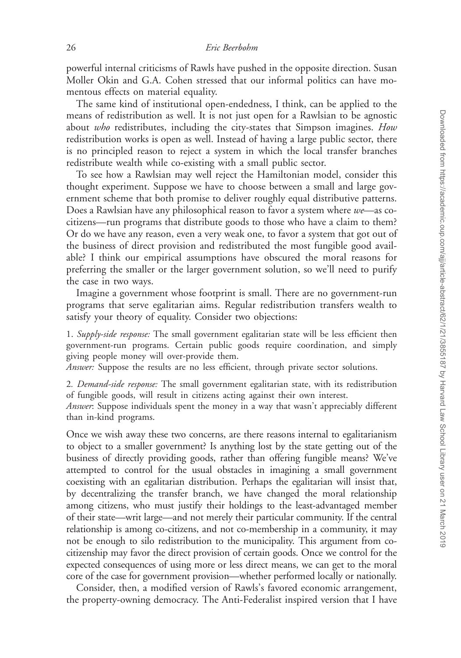powerful internal criticisms of Rawls have pushed in the opposite direction. Susan Moller Okin and G.A. Cohen stressed that our informal politics can have momentous effects on material equality.

The same kind of institutional open-endedness, I think, can be applied to the means of redistribution as well. It is not just open for a Rawlsian to be agnostic about who redistributes, including the city-states that Simpson imagines. How redistribution works is open as well. Instead of having a large public sector, there is no principled reason to reject a system in which the local transfer branches redistribute wealth while co-existing with a small public sector.

To see how a Rawlsian may well reject the Hamiltonian model, consider this thought experiment. Suppose we have to choose between a small and large government scheme that both promise to deliver roughly equal distributive patterns. Does a Rawlsian have any philosophical reason to favor a system where we—as cocitizens—run programs that distribute goods to those who have a claim to them? Or do we have any reason, even a very weak one, to favor a system that got out of the business of direct provision and redistributed the most fungible good available? I think our empirical assumptions have obscured the moral reasons for preferring the smaller or the larger government solution, so we'll need to purify the case in two ways.

Imagine a government whose footprint is small. There are no government-run programs that serve egalitarian aims. Regular redistribution transfers wealth to satisfy your theory of equality. Consider two objections:

1. Supply-side response: The small government egalitarian state will be less efficient then government-run programs. Certain public goods require coordination, and simply giving people money will over-provide them.

Answer: Suppose the results are no less efficient, through private sector solutions.

2. Demand-side response: The small government egalitarian state, with its redistribution of fungible goods, will result in citizens acting against their own interest.

Answer: Suppose individuals spent the money in a way that wasn't appreciably different than in-kind programs.

Once we wish away these two concerns, are there reasons internal to egalitarianism to object to a smaller government? Is anything lost by the state getting out of the business of directly providing goods, rather than offering fungible means? We've attempted to control for the usual obstacles in imagining a small government coexisting with an egalitarian distribution. Perhaps the egalitarian will insist that, by decentralizing the transfer branch, we have changed the moral relationship among citizens, who must justify their holdings to the least-advantaged member of their state—writ large—and not merely their particular community. If the central relationship is among co-citizens, and not co-membership in a community, it may not be enough to silo redistribution to the municipality. This argument from cocitizenship may favor the direct provision of certain goods. Once we control for the expected consequences of using more or less direct means, we can get to the moral core of the case for government provision—whether performed locally or nationally.

Consider, then, a modified version of Rawls's favored economic arrangement, the property-owning democracy. The Anti-Federalist inspired version that I have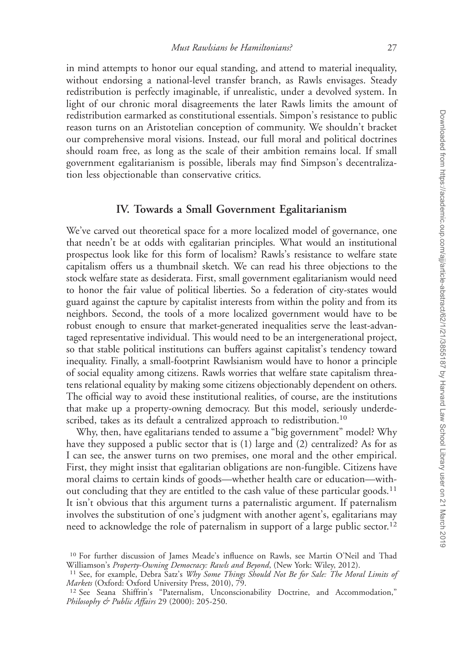in mind attempts to honor our equal standing, and attend to material inequality, without endorsing a national-level transfer branch, as Rawls envisages. Steady redistribution is perfectly imaginable, if unrealistic, under a devolved system. In light of our chronic moral disagreements the later Rawls limits the amount of redistribution earmarked as constitutional essentials. Simpon's resistance to public reason turns on an Aristotelian conception of community. We shouldn't bracket our comprehensive moral visions. Instead, our full moral and political doctrines should roam free, as long as the scale of their ambition remains local. If small government egalitarianism is possible, liberals may find Simpson's decentralization less objectionable than conservative critics.

### IV. Towards a Small Government Egalitarianism

We've carved out theoretical space for a more localized model of governance, one that needn't be at odds with egalitarian principles. What would an institutional prospectus look like for this form of localism? Rawls's resistance to welfare state capitalism offers us a thumbnail sketch. We can read his three objections to the stock welfare state as desiderata. First, small government egalitarianism would need to honor the fair value of political liberties. So a federation of city-states would guard against the capture by capitalist interests from within the polity and from its neighbors. Second, the tools of a more localized government would have to be robust enough to ensure that market-generated inequalities serve the least-advantaged representative individual. This would need to be an intergenerational project, so that stable political institutions can buffers against capitalist's tendency toward inequality. Finally, a small-footprint Rawlsianism would have to honor a principle of social equality among citizens. Rawls worries that welfare state capitalism threatens relational equality by making some citizens objectionably dependent on others. The official way to avoid these institutional realities, of course, are the institutions that make up a property-owning democracy. But this model, seriously underdescribed, takes as its default a centralized approach to redistribution.<sup>10</sup>

Why, then, have egalitarians tended to assume a "big government" model? Why have they supposed a public sector that is (1) large and (2) centralized? As for as I can see, the answer turns on two premises, one moral and the other empirical. First, they might insist that egalitarian obligations are non-fungible. Citizens have moral claims to certain kinds of goods—whether health care or education—without concluding that they are entitled to the cash value of these particular goods.<sup>11</sup> It isn't obvious that this argument turns a paternalistic argument. If paternalism involves the substitution of one's judgment with another agent's, egalitarians may need to acknowledge the role of paternalism in support of a large public sector.<sup>12</sup>

<sup>&</sup>lt;sup>10</sup> For further discussion of James Meade's influence on Rawls, see Martin O'Neil and Thad Williamson's *Property-Owning Democracy: Rawls and Beyond*, (New York: Wiley, 2012).

<sup>&</sup>lt;sup>11</sup> See, for example, Debra Satz's Why Some Things Should Not Be for Sale: The Moral Limits of Markets (Oxford: Oxford University Press, 2010), 79.<br><sup>12</sup> See Seana Shiffrin's "Paternalism, Unconscionability Doctrine, and Accommodation,"

Philosophy & Public Affairs 29 (2000): 205-250.